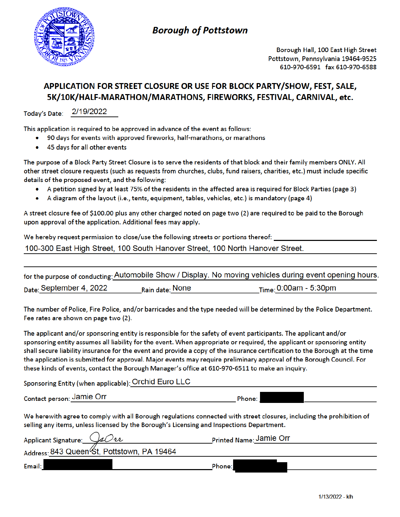

## **Borough of Pottstown**

Borough Hall, 100 East High Street Pottstown, Pennsylvania 19464-9525 610-970-6591 fax 610-970-6588

## APPLICATION FOR STREET CLOSURE OR USE FOR BLOCK PARTY/SHOW, FEST, SALE, 5K/10K/HALF-MARATHON/MARATHONS, FIREWORKS, FESTIVAL, CARNIVAL, etc.

Today's Date: 2/19/2022

This application is required to be approved in advance of the event as follows:

- 90 days for events with approved fireworks, half-marathons, or marathons
- 45 days for all other events  $\bullet$

The purpose of a Block Party Street Closure is to serve the residents of that block and their family members ONLY. All other street closure requests (such as requests from churches, clubs, fund raisers, charities, etc.) must include specific details of the proposed event, and the following:

- A petition signed by at least 75% of the residents in the affected area is required for Block Parties (page 3)  $\bullet$
- A diagram of the layout (i.e., tents, equipment, tables, vehicles, etc.) is mandatory (page 4)

A street closure fee of \$100.00 plus any other charged noted on page two (2) are required to be paid to the Borough upon approval of the application. Additional fees may apply.

We hereby request permission to close/use the following streets or portions thereof: \_\_\_\_\_\_\_\_\_

100-300 East High Street, 100 South Hanover Street, 100 North Hanover Street.

|                                       |                 | for the purpose of conducting: Automobile Show / Display. No moving vehicles during event opening hours. |
|---------------------------------------|-----------------|----------------------------------------------------------------------------------------------------------|
| $_{\textsf{Date}:}$ September 4, 2022 | Rain date: None | $_{Time:}$ 0:00am - 5:30pm                                                                               |

The number of Police, Fire Police, and/or barricades and the type needed will be determined by the Police Department. Fee rates are shown on page two (2).

The applicant and/or sponsoring entity is responsible for the safety of event participants. The applicant and/or sponsoring entity assumes all liability for the event. When appropriate or required, the applicant or sponsoring entity shall secure liability insurance for the event and provide a copy of the insurance certification to the Borough at the time the application is submitted for approval. Major events may require preliminary approval of the Borough Council. For these kinds of events, contact the Borough Manager's office at 610-970-6511 to make an inquiry.

Sponsoring Entity (when applicable): Orchid Euro LLC

Contact person: Jamie Orr

Phone:

We herewith agree to comply with all Borough regulations connected with street closures, including the prohibition of selling any items, unless licensed by the Borough's Licensing and Inspections Department.

| Applicant Signature: JaOu                  | Printed Name: Jamie Orr |  |
|--------------------------------------------|-------------------------|--|
| Address: 843 Queen St, Pottstown, PA 19464 |                         |  |
| Email:                                     | Phone:                  |  |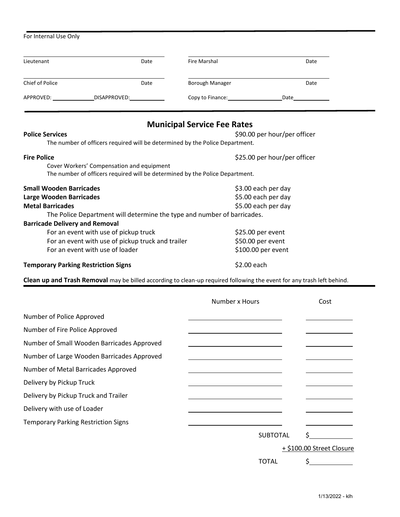| Lieutenant<br>Chief of Police<br>APPROVED: ________________________DISAPPROVED:__________________________________         | Date<br>Date | <b>Fire Marshal</b><br>Borough Manager<br>Copy to Finance: Copy to Finance:<br><b>Municipal Service Fee Rates</b> | Date<br>Date<br>Date                                                                                                   |  |
|---------------------------------------------------------------------------------------------------------------------------|--------------|-------------------------------------------------------------------------------------------------------------------|------------------------------------------------------------------------------------------------------------------------|--|
|                                                                                                                           |              |                                                                                                                   |                                                                                                                        |  |
|                                                                                                                           |              |                                                                                                                   |                                                                                                                        |  |
|                                                                                                                           |              |                                                                                                                   |                                                                                                                        |  |
|                                                                                                                           |              |                                                                                                                   |                                                                                                                        |  |
| <b>Police Services</b><br>The number of officers required will be determined by the Police Department.                    |              |                                                                                                                   | \$90.00 per hour/per officer                                                                                           |  |
| <b>Fire Police</b>                                                                                                        |              |                                                                                                                   | \$25.00 per hour/per officer                                                                                           |  |
| Cover Workers' Compensation and equipment<br>The number of officers required will be determined by the Police Department. |              |                                                                                                                   |                                                                                                                        |  |
| <b>Small Wooden Barricades</b>                                                                                            |              |                                                                                                                   | \$3.00 each per day                                                                                                    |  |
| <b>Large Wooden Barricades</b>                                                                                            |              |                                                                                                                   | \$5.00 each per day                                                                                                    |  |
| <b>Metal Barricades</b>                                                                                                   |              | \$5.00 each per day                                                                                               |                                                                                                                        |  |
| The Police Department will determine the type and number of barricades.                                                   |              |                                                                                                                   |                                                                                                                        |  |
| <b>Barricade Delivery and Removal</b>                                                                                     |              |                                                                                                                   |                                                                                                                        |  |
| For an event with use of pickup truck                                                                                     |              |                                                                                                                   | \$25.00 per event                                                                                                      |  |
| For an event with use of pickup truck and trailer                                                                         |              |                                                                                                                   | \$50.00 per event                                                                                                      |  |
| For an event with use of loader                                                                                           |              |                                                                                                                   | \$100.00 per event                                                                                                     |  |
| <b>Temporary Parking Restriction Signs</b>                                                                                |              |                                                                                                                   | \$2.00 each                                                                                                            |  |
|                                                                                                                           |              |                                                                                                                   | Clean up and Trash Removal may be billed according to clean-up required following the event for any trash left behind. |  |

|                                            | Number x Hours  | Cost                      |
|--------------------------------------------|-----------------|---------------------------|
| Number of Police Approved                  |                 |                           |
| Number of Fire Police Approved             |                 |                           |
| Number of Small Wooden Barricades Approved |                 |                           |
| Number of Large Wooden Barricades Approved |                 |                           |
| Number of Metal Barricades Approved        |                 |                           |
| Delivery by Pickup Truck                   |                 |                           |
| Delivery by Pickup Truck and Trailer       |                 |                           |
| Delivery with use of Loader                |                 |                           |
| <b>Temporary Parking Restriction Signs</b> |                 |                           |
|                                            | <b>SUBTOTAL</b> |                           |
|                                            |                 | + \$100.00 Street Closure |
|                                            | <b>TOTAL</b>    |                           |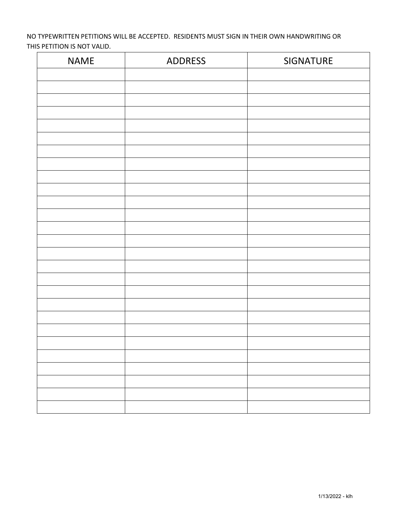NO TYPEWRITTEN PETITIONS WILL BE ACCEPTED. RESIDENTS MUST SIGN IN THEIR OWN HANDWRITING OR THIS PETITION IS NOT VALID.

| <b>NAME</b> | <b>ADDRESS</b> | SIGNATURE |
|-------------|----------------|-----------|
|             |                |           |
|             |                |           |
|             |                |           |
|             |                |           |
|             |                |           |
|             |                |           |
|             |                |           |
|             |                |           |
|             |                |           |
|             |                |           |
|             |                |           |
|             |                |           |
|             |                |           |
|             |                |           |
|             |                |           |
|             |                |           |
|             |                |           |
|             |                |           |
|             |                |           |
|             |                |           |
|             |                |           |
|             |                |           |
|             |                |           |
|             |                |           |
|             |                |           |